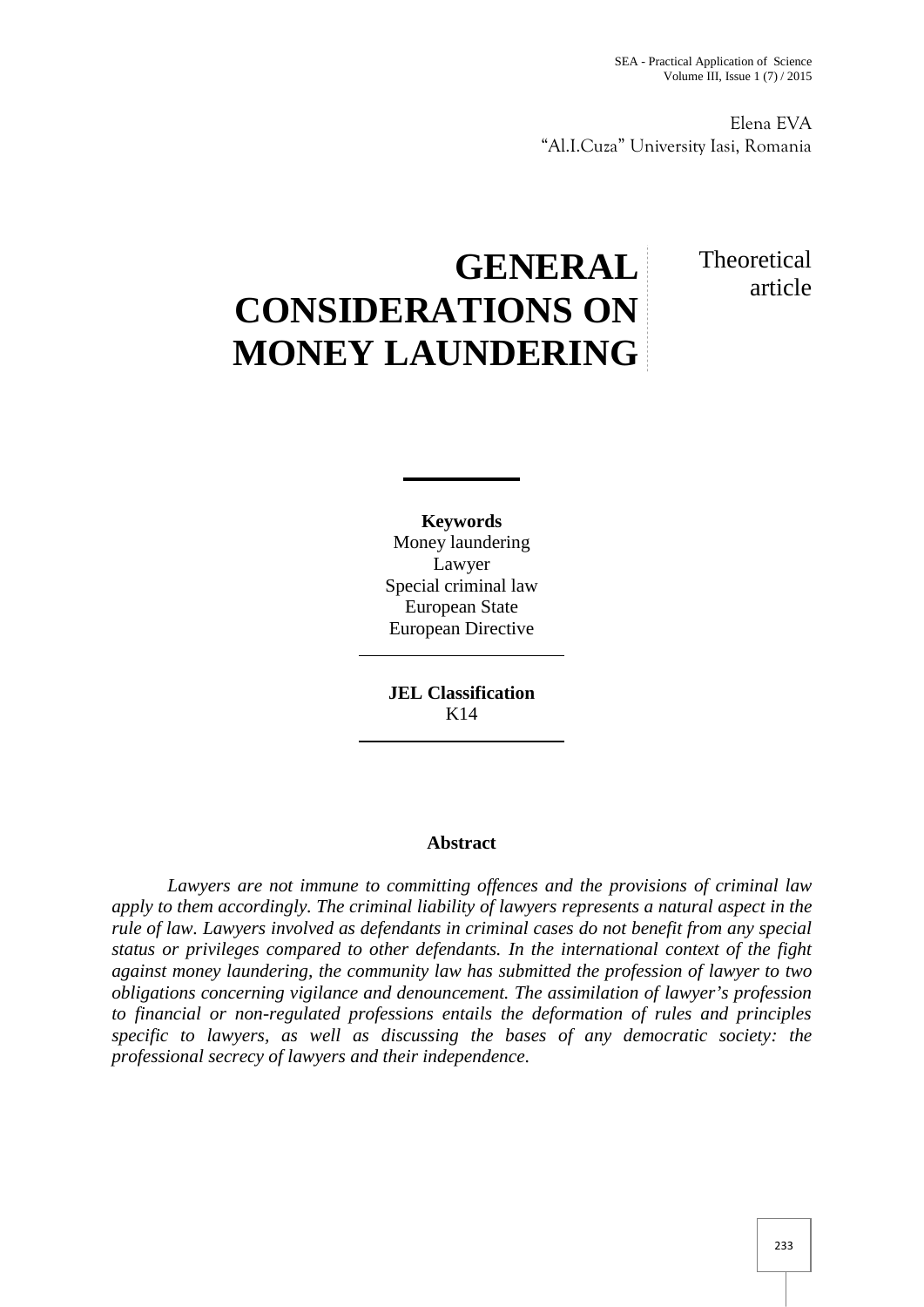Elena EVA "Al.I.Cuza" University Iasi, Romania

## Theoretical article

## **GENERAL CONSIDERATIONS ON MONEY LAUNDERING**

**Keywords** Money laundering Lawyer Special criminal law European State European Directive

**JEL Classification** K14

## **Abstract**

*Lawyers are not immune to committing offences and the provisions of criminal law apply to them accordingly. The criminal liability of lawyers represents a natural aspect in the rule of law. Lawyers involved as defendants in criminal cases do not benefit from any special status or privileges compared to other defendants. In the international context of the fight against money laundering, the community law has submitted the profession of lawyer to two obligations concerning vigilance and denouncement. The assimilation of lawyer's profession to financial or non-regulated professions entails the deformation of rules and principles specific to lawyers, as well as discussing the bases of any democratic society: the professional secrecy of lawyers and their independence.*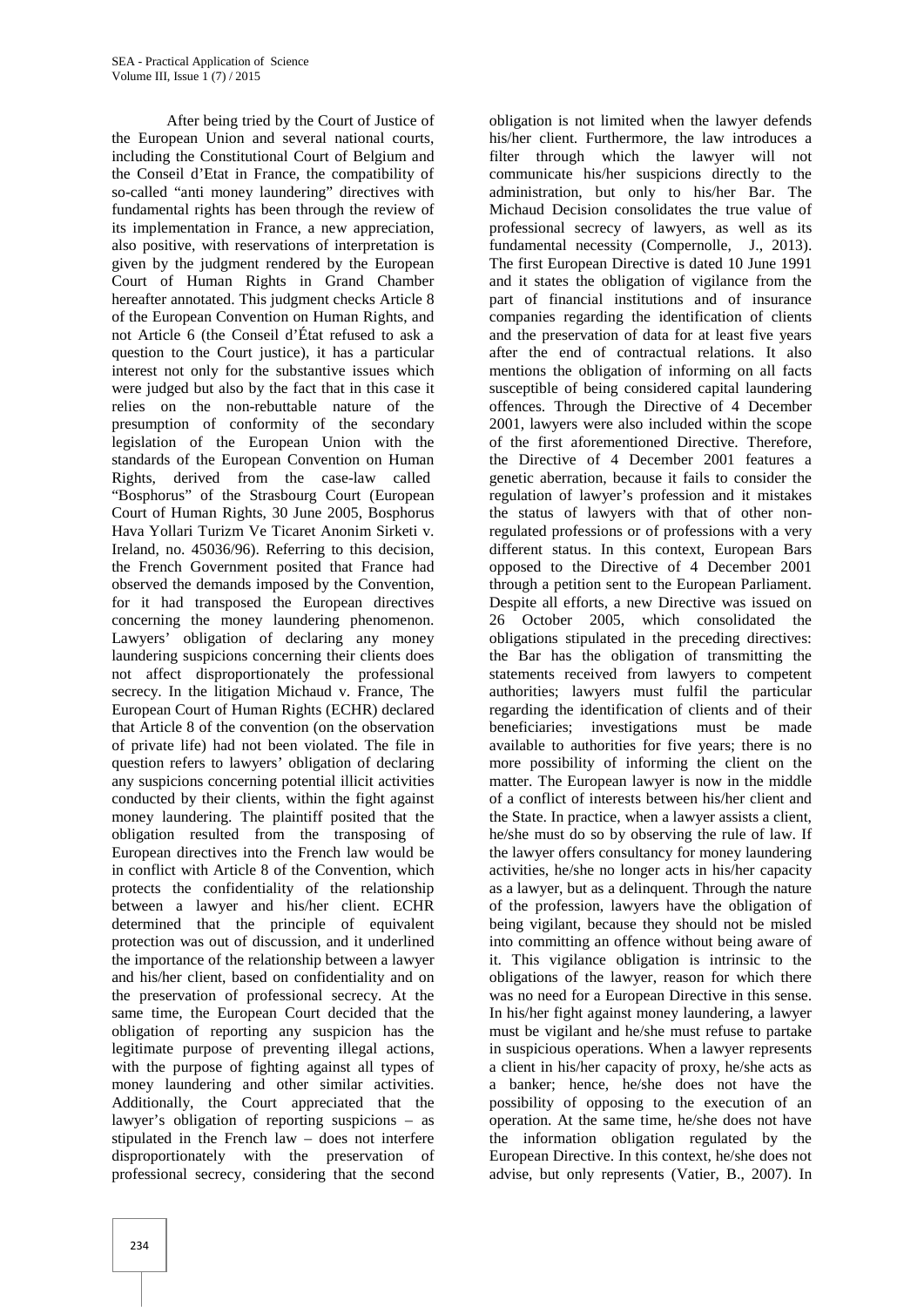After being tried by the Court of Justice of the European Union and several national courts, including the Constitutional Court of Belgium and the Conseil d'Etat in France, the compatibility of so-called "anti money laundering" directives with fundamental rights has been through the review of its implementation in France, a new appreciation, also positive, with reservations of interpretation is given by the judgment rendered by the European Court of Human Rights in Grand Chamber hereafter annotated. This judgment checks Article 8 of the European Convention on Human Rights, and not Article 6 (the Conseil d'État refused to ask a question to the Court justice), it has a particular interest not only for the substantive issues which were judged but also by the fact that in this case it relies on the non-rebuttable nature of the presumption of conformity of the secondary legislation of the European Union with the standards of the European Convention on Human Rights, derived from the case-law called "Bosphorus" of the Strasbourg Court (European Court of Human Rights, 30 June 2005, Bosphorus Hava Yollari Turizm Ve Ticaret Anonim Sirketi v. Ireland, no. 45036/96). Referring to this decision, the French Government posited that France had observed the demands imposed by the Convention, for it had transposed the European directives concerning the money laundering phenomenon. Lawyers' obligation of declaring any money laundering suspicions concerning their clients does not affect disproportionately the professional secrecy. In the litigation Michaud v. France, The European Court of Human Rights (ECHR) declared that Article 8 of the convention (on the observation of private life) had not been violated. The file in question refers to lawyers' obligation of declaring any suspicions concerning potential illicit activities conducted by their clients, within the fight against money laundering. The plaintiff posited that the obligation resulted from the transposing of European directives into the French law would be in conflict with Article 8 of the Convention, which protects the confidentiality of the relationship between a lawyer and his/her client. ECHR determined that the principle of equivalent protection was out of discussion, and it underlined the importance of the relationship between a lawyer and his/her client, based on confidentiality and on the preservation of professional secrecy. At the same time, the European Court decided that the obligation of reporting any suspicion has the legitimate purpose of preventing illegal actions, with the purpose of fighting against all types of money laundering and other similar activities. Additionally, the Court appreciated that the lawyer's obligation of reporting suspicions – as stipulated in the French law – does not interfere disproportionately with the preservation of professional secrecy, considering that the second

his/her client. Furthermore, the law introduces a filter through which the lawyer will not communicate his/her suspicions directly to the administration, but only to his/her Bar. The Michaud Decision consolidates the true value of professional secrecy of lawyers, as well as its fundamental necessity (Compernolle, J., 2013). The first European Directive is dated 10 June 1991 and it states the obligation of vigilance from the part of financial institutions and of insurance companies regarding the identification of clients and the preservation of data for at least five years after the end of contractual relations. It also mentions the obligation of informing on all facts susceptible of being considered capital laundering offences. Through the Directive of 4 December 2001, lawyers were also included within the scope of the first aforementioned Directive. Therefore, the Directive of 4 December 2001 features a genetic aberration, because it fails to consider the regulation of lawyer's profession and it mistakes the status of lawyers with that of other nonregulated professions or of professions with a very different status. In this context, European Bars opposed to the Directive of 4 December 2001 through a petition sent to the European Parliament. Despite all efforts, a new Directive was issued on 26 October 2005, which consolidated the obligations stipulated in the preceding directives: the Bar has the obligation of transmitting the statements received from lawyers to competent authorities; lawyers must fulfil the particular regarding the identification of clients and of their beneficiaries; investigations must be made available to authorities for five years; there is no more possibility of informing the client on the matter. The European lawyer is now in the middle of a conflict of interests between his/her client and the State. In practice, when a lawyer assists a client, he/she must do so by observing the rule of law. If the lawyer offers consultancy for money laundering activities, he/she no longer acts in his/her capacity as a lawyer, but as a delinquent. Through the nature of the profession, lawyers have the obligation of being vigilant, because they should not be misled into committing an offence without being aware of it. This vigilance obligation is intrinsic to the obligations of the lawyer, reason for which there was no need for a European Directive in this sense. In his/her fight against money laundering, a lawyer must be vigilant and he/she must refuse to partake in suspicious operations. When a lawyer represents a client in his/her capacity of proxy, he/she acts as a banker; hence, he/she does not have the possibility of opposing to the execution of an operation. At the same time, he/she does not have the information obligation regulated by the European Directive. In this context, he/she does not advise, but only represents (Vatier, B., 2007). In

obligation is not limited when the lawyer defends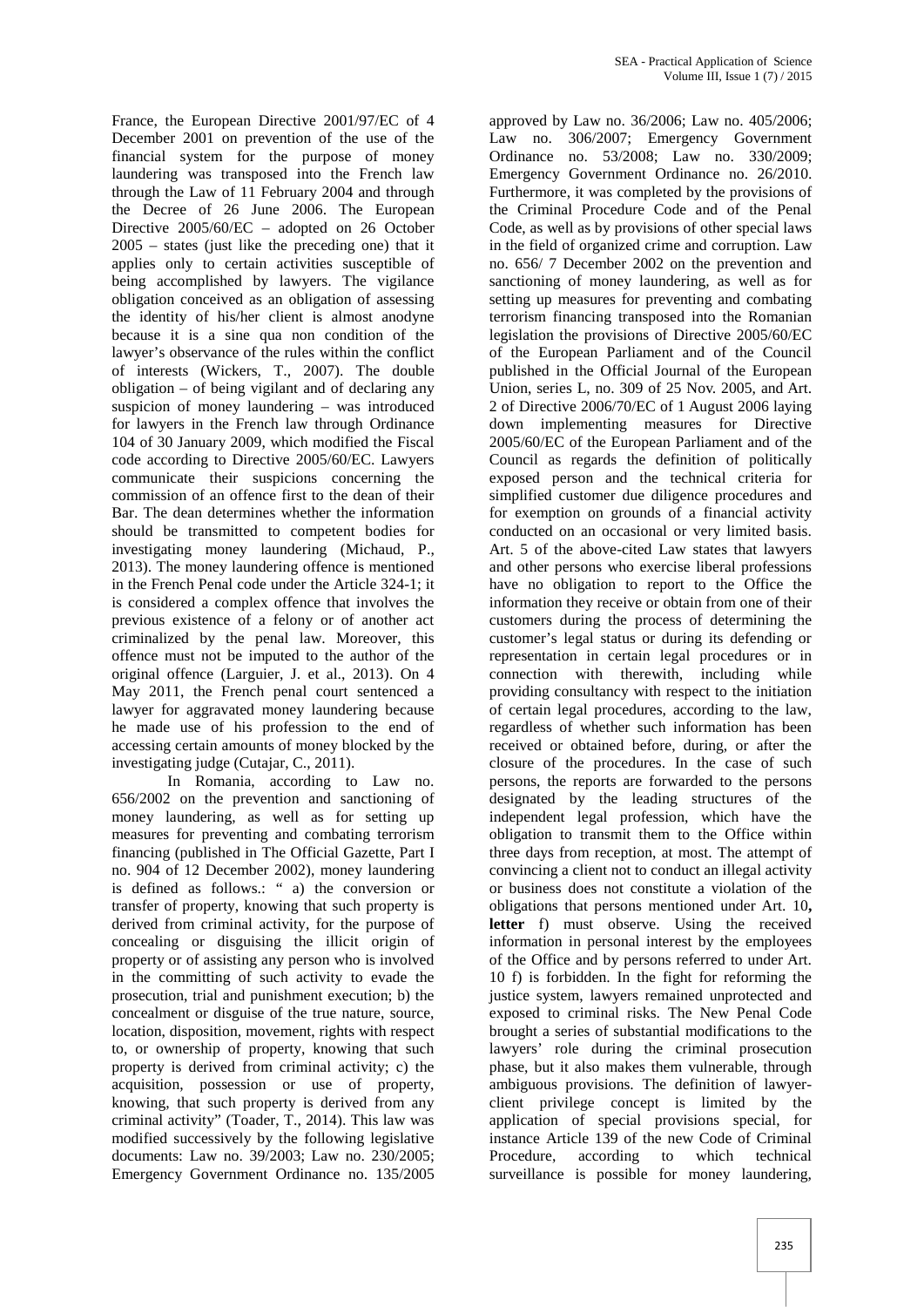France, the European Directive 2001/97/EC of 4 December 2001 on prevention of the use of the financial system for the purpose of money laundering was transposed into the French law through the Law of 11 February 2004 and through the Decree of 26 June 2006. The European Directive 2005/60/EC – adopted on 26 October 2005 – states (just like the preceding one) that it applies only to certain activities susceptible of being accomplished by lawyers. The vigilance obligation conceived as an obligation of assessing the identity of his/her client is almost anodyne because it is a sine qua non condition of the lawyer's observance of the rules within the conflict of interests (Wickers, T., 2007). The double obligation – of being vigilant and of declaring any suspicion of money laundering – was introduced for lawyers in the French law through Ordinance 104 of 30 January 2009, which modified the Fiscal code according to Directive 2005/60/EC. Lawyers communicate their suspicions concerning the commission of an offence first to the dean of their Bar. The dean determines whether the information should be transmitted to competent bodies for investigating money laundering (Michaud, P., 2013). The money laundering offence is mentioned in the French Penal code under the Article 324-1; it is considered a complex offence that involves the previous existence of a felony or of another act criminalized by the penal law. Moreover, this offence must not be imputed to the author of the original offence (Larguier, J. et al., 2013). On 4 May 2011, the French penal court sentenced a lawyer for aggravated money laundering because he made use of his profession to the end of accessing certain amounts of money blocked by the investigating judge (Cutajar, C., 2011).

In Romania, according to Law no. 656/2002 on the prevention and sanctioning of money laundering, as well as for setting up measures for preventing and combating terrorism financing (published in The Official Gazette, Part I no. 904 of 12 December 2002), money laundering is defined as follows.: " a) the conversion or transfer of property, knowing that such property is derived from criminal activity, for the purpose of concealing or disguising the illicit origin of property or of assisting any person who is involved in the committing of such activity to evade the prosecution, trial and punishment execution; b) the concealment or disguise of the true nature, source, location, disposition, movement, rights with respect to, or ownership of property, knowing that such property is derived from criminal activity; c) the acquisition, possession or use of property, knowing, that such property is derived from any criminal activity" (Toader, T., 2014). This law was modified successively by the following legislative documents: Law no. 39/2003; Law no. 230/2005; Emergency Government Ordinance no. 135/2005

approved by Law no. 36/2006; Law no. 405/2006; Law no. 306/2007; Emergency Government Ordinance no. 53/2008; Law no. 330/2009; Emergency Government Ordinance no. 26/2010. Furthermore, it was completed by the provisions of the Criminal Procedure Code and of the Penal Code, as well as by provisions of other special laws in the field of organized crime and corruption. Law no. 656/ 7 December 2002 on the prevention and sanctioning of money laundering, as well as for setting up measures for preventing and combating terrorism financing transposed into the Romanian legislation the provisions of Directive 2005/60/EC of the European Parliament and of the Council published in the Official Journal of the European Union, series L, no. 309 of 25 Nov. 2005, and Art. 2 of Directive 2006/70/EC of 1 August 2006 laying down implementing measures for Directive 2005/60/EC of the European Parliament and of the Council as regards the definition of politically exposed person and the technical criteria for simplified customer due diligence procedures and for exemption on grounds of a financial activity conducted on an occasional or very limited basis. Art. 5 of the above-cited Law states that lawyers and other persons who exercise liberal professions have no obligation to report to the Office the information they receive or obtain from one of their customers during the process of determining the customer's legal status or during its defending or representation in certain legal procedures or in connection with therewith, including while providing consultancy with respect to the initiation of certain legal procedures, according to the law, regardless of whether such information has been received or obtained before, during, or after the closure of the procedures. In the case of such persons, the reports are forwarded to the persons designated by the leading structures of the independent legal profession, which have the obligation to transmit them to the Office within three days from reception, at most. The attempt of convincing a client not to conduct an illegal activity or business does not constitute a violation of the obligations that persons mentioned under Art. 10**, letter** f) must observe. Using the received information in personal interest by the employees of the Office and by persons referred to under Art. 10 f) is forbidden. In the fight for reforming the justice system, lawyers remained unprotected and exposed to criminal risks. The New Penal Code brought a series of substantial modifications to the lawyers' role during the criminal prosecution phase, but it also makes them vulnerable, through ambiguous provisions. The definition of lawyer client privilege concept is limited by the application of special provisions special, for instance Article 139 of the new Code of Criminal Procedure, according to which technical surveillance is possible for money laundering,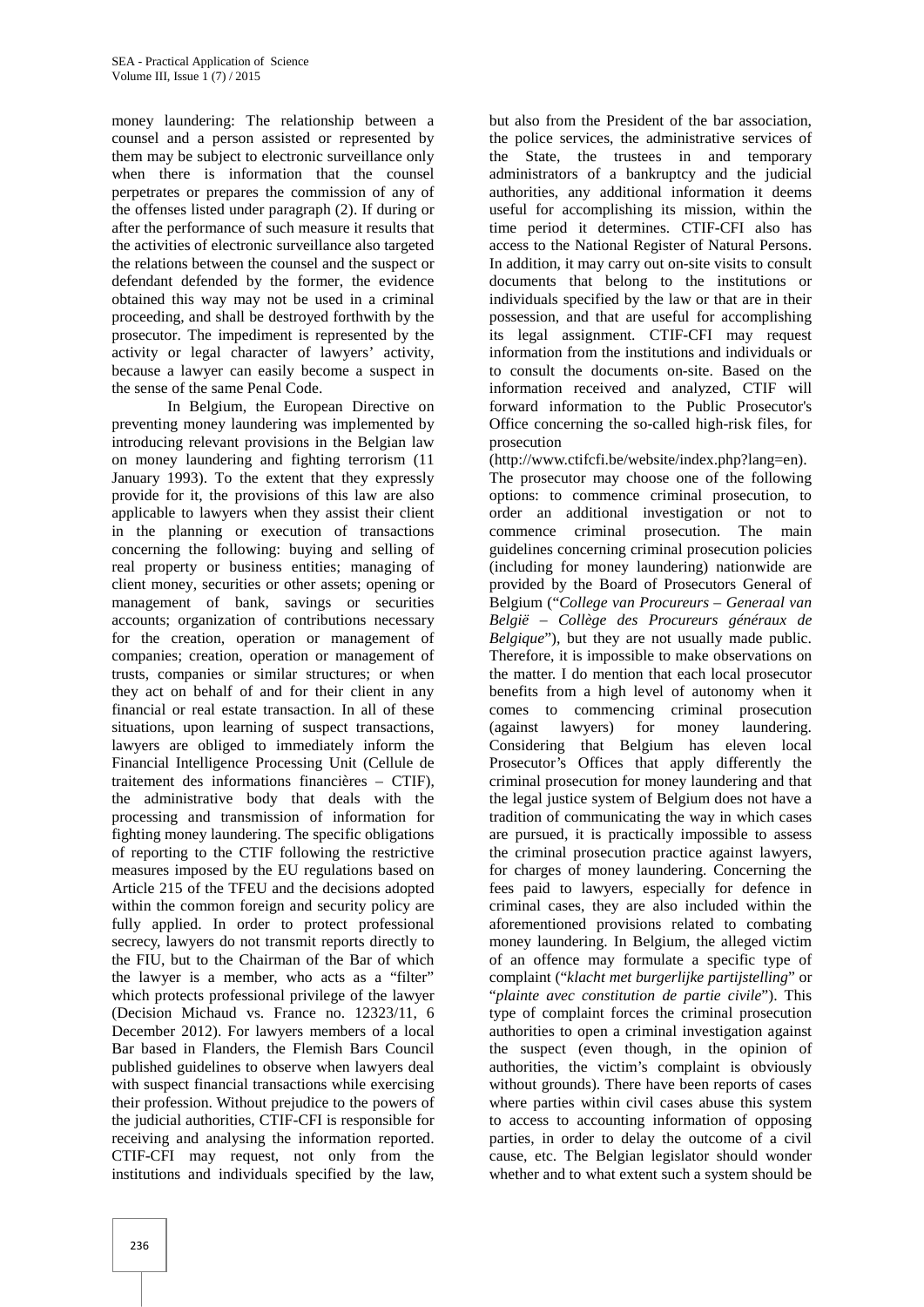money laundering: The relationship between a counsel and a person assisted or represented by them may be subject to electronic surveillance only when there is information that the counsel perpetrates or prepares the commission of any of the offenses listed under paragraph (2). If during or after the performance of such measure it results that the activities of electronic surveillance also targeted the relations between the counsel and the suspect or defendant defended by the former, the evidence obtained this way may not be used in a criminal proceeding, and shall be destroyed forthwith by the prosecutor. The impediment is represented by the activity or legal character of lawyers' activity, because a lawyer can easily become a suspect in the sense of the same Penal Code.

In Belgium, the European Directive on preventing money laundering was implemented by introducing relevant provisions in the Belgian law on money laundering and fighting terrorism (11 January 1993). To the extent that they expressly provide for it, the provisions of this law are also applicable to lawyers when they assist their client in the planning or execution of transactions concerning the following: buying and selling of real property or business entities; managing of client money, securities or other assets; opening or management of bank, savings or securities accounts; organization of contributions necessary for the creation, operation or management of companies; creation, operation or management of trusts, companies or similar structures; or when they act on behalf of and for their client in any financial or real estate transaction. In all of these situations, upon learning of suspect transactions, lawyers are obliged to immediately inform the Financial Intelligence Processing Unit (Cellule de traitement des informations financières – CTIF), the administrative body that deals with the processing and transmission of information for fighting money laundering. The specific obligations of reporting to the CTIF following the restrictive measures imposed by the EU regulations based on Article 215 of the TFEU and the decisions adopted within the common foreign and security policy are fully applied. In order to protect professional secrecy, lawyers do not transmit reports directly to the FIU, but to the Chairman of the Bar of which the lawyer is a member, who acts as a "filter" which protects professional privilege of the lawyer (Decision Michaud vs. France no. 12323/11, 6 December 2012). For lawyers members of a local Bar based in Flanders, the Flemish Bars Council published guidelines to observe when lawyers deal with suspect financial transactions while exercising their profession. Without prejudice to the powers of the judicial authorities, CTIF-CFI is responsible for receiving and analysing the information reported. CTIF-CFI may request, not only from the institutions and individuals specified by the law,

but also from the President of the bar association, the police services, the administrative services of the State, the trustees in and temporary administrators of a bankruptcy and the judicial authorities, any additional information it deems useful for accomplishing its mission, within the time period it determines. CTIF-CFI also has access to the National Register of Natural Persons. In addition, it may carry out on-site visits to consult documents that belong to the institutions or individuals specified by the law or that are in their possession, and that are useful for accomplishing its legal assignment. CTIF-CFI may request information from the institutions and individuals or to consult the documents on-site. Based on the information received and analyzed, CTIF will forward information to the Public Prosecutor's Office concerning the so-called high-risk files, for prosecution

(http://www.ctifcfi.be/website/index.php?lang=en). The prosecutor may choose one of the following options: to commence criminal prosecution, to order an additional investigation or not to commence criminal prosecution. The main guidelines concerning criminal prosecution policies (including for money laundering) nationwide are provided by the Board of Prosecutors General of Belgium ("*College van Procureurs – Generaal van België – Collège des Procureurs généraux de Belgique*"), but they are not usually made public. Therefore, it is impossible to make observations on the matter. I do mention that each local prosecutor benefits from a high level of autonomy when it comes to commencing criminal prosecution (against lawyers) for money laundering. Considering that Belgium has eleven local Prosecutor's Offices that apply differently the criminal prosecution for money laundering and that the legal justice system of Belgium does not have a tradition of communicating the way in which cases are pursued, it is practically impossible to assess the criminal prosecution practice against lawyers, for charges of money laundering. Concerning the fees paid to lawyers, especially for defence in criminal cases, they are also included within the aforementioned provisions related to combating money laundering. In Belgium, the alleged victim of an offence may formulate a specific type of complaint ("*klacht met burgerlijke partijstelling*" or "*plainte avec constitution de partie civile*"). This type of complaint forces the criminal prosecution authorities to open a criminal investigation against the suspect (even though, in the opinion of authorities, the victim's complaint is obviously without grounds). There have been reports of cases where parties within civil cases abuse this system to access to accounting information of opposing parties, in order to delay the outcome of a civil cause, etc. The Belgian legislator should wonder whether and to what extent such a system should be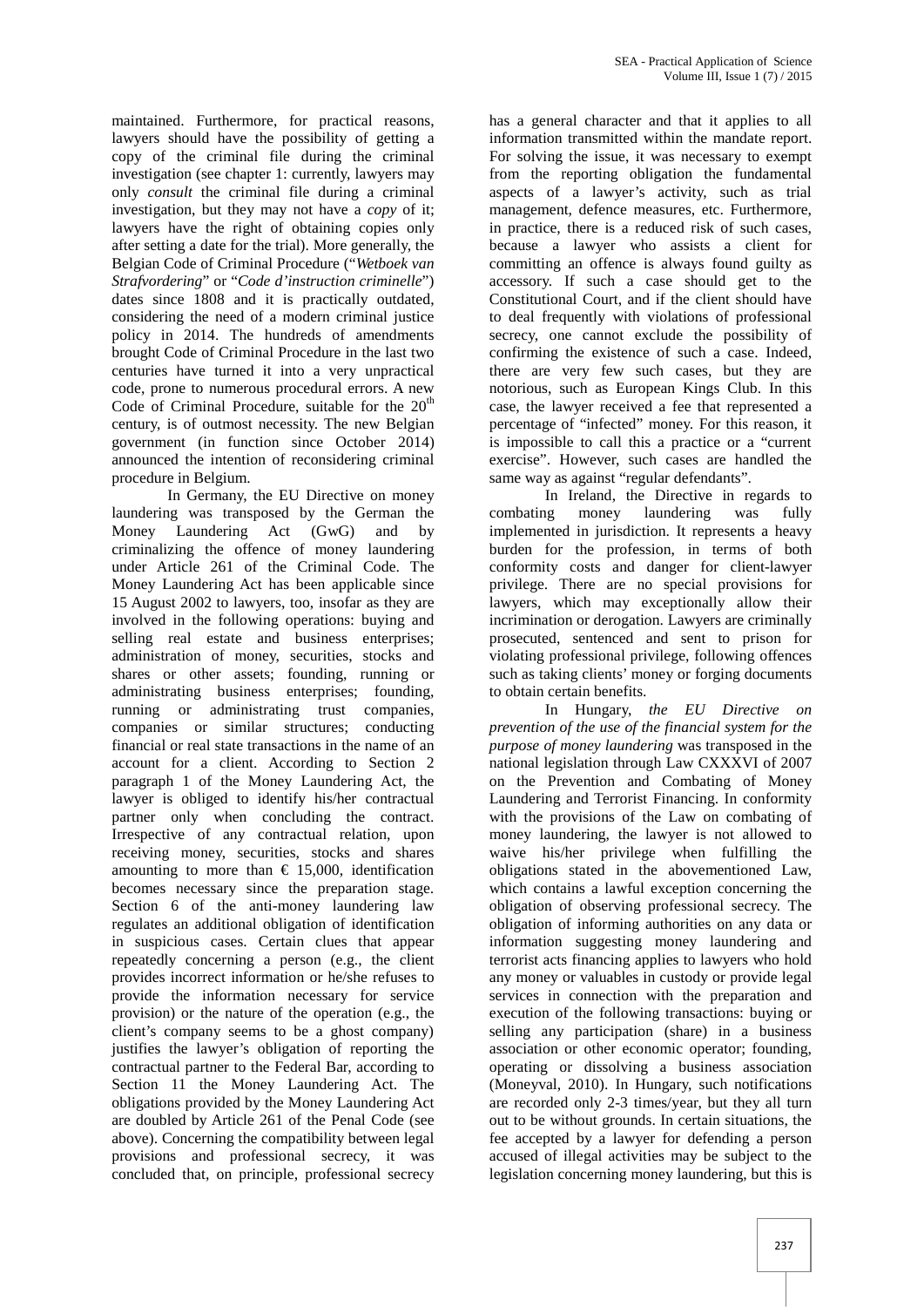maintained. Furthermore, for practical reasons, lawyers should have the possibility of getting a copy of the criminal file during the criminal investigation (see chapter 1: currently, lawyers may only *consult* the criminal file during a criminal investigation, but they may not have a *copy* of it; lawyers have the right of obtaining copies only after setting a date for the trial). More generally, the Belgian Code of Criminal Procedure ("*Wetboek van Strafvordering*" or "*Code d'instruction criminelle*") dates since 1808 and it is practically outdated, considering the need of a modern criminal justice policy in 2014. The hundreds of amendments brought Code of Criminal Procedure in the last two centuries have turned it into a very unpractical code, prone to numerous procedural errors. A new Code of Criminal Procedure, suitable for the  $20<sup>th</sup>$ century, is of outmost necessity. The new Belgian government (in function since October 2014) announced the intention of reconsidering criminal procedure in Belgium.

In Germany, the EU Directive on money laundering was transposed by the German the Money Laundering Act (GwG) and by criminalizing the offence of money laundering under Article 261 of the Criminal Code. The Money Laundering Act has been applicable since 15 August 2002 to lawyers, too, insofar as they are involved in the following operations: buying and selling real estate and business enterprises; administration of money, securities, stocks and shares or other assets; founding, running or administrating business enterprises; founding, running or administrating trust companies, companies or similar structures; conducting financial or real state transactions in the name of an account for a client. According to Section 2 paragraph 1 of the Money Laundering Act, the lawyer is obliged to identify his/her contractual partner only when concluding the contract. Irrespective of any contractual relation, upon receiving money, securities, stocks and shares amounting to more than  $\epsilon$  15,000, identification becomes necessary since the preparation stage. Section 6 of the anti-money laundering law regulates an additional obligation of identification in suspicious cases. Certain clues that appear repeatedly concerning a person (e.g., the client provides incorrect information or he/she refuses to provide the information necessary for service provision) or the nature of the operation (e.g., the client's company seems to be a ghost company) justifies the lawyer's obligation of reporting the contractual partner to the Federal Bar, according to Section 11 the Money Laundering Act. The obligations provided by the Money Laundering Act are doubled by Article 261 of the Penal Code (see above). Concerning the compatibility between legal provisions and professional secrecy, it was concluded that, on principle, professional secrecy

has a general character and that it applies to all information transmitted within the mandate report. For solving the issue, it was necessary to exempt from the reporting obligation the fundamental aspects of a lawyer's activity, such as trial management, defence measures, etc. Furthermore, in practice, there is a reduced risk of such cases, because a lawyer who assists a client for committing an offence is always found guilty as accessory. If such a case should get to the Constitutional Court, and if the client should have to deal frequently with violations of professional secrecy, one cannot exclude the possibility of confirming the existence of such a case. Indeed, there are very few such cases, but they are notorious, such as European Kings Club. In this case, the lawyer received a fee that represented a percentage of "infected" money. For this reason, it is impossible to call this a practice or a "current exercise". However, such cases are handled the same way as against "regular defendants".

In Ireland, the Directive in regards to combating money laundering was fully implemented in jurisdiction. It represents a heavy burden for the profession, in terms of both conformity costs and danger for client-lawyer privilege. There are no special provisions for lawyers, which may exceptionally allow their incrimination or derogation. Lawyers are criminally prosecuted, sentenced and sent to prison for violating professional privilege, following offences such as taking clients' money or forging documents to obtain certain benefits.

In Hungary, *the EU Directive on prevention of the use of the financial system for the purpose of money laundering* was transposed in the national legislation through Law CXXXVI of 2007 on the Prevention and Combating of Money Laundering and Terrorist Financing. In conformity with the provisions of the Law on combating of money laundering, the lawyer is not allowed to waive his/her privilege when fulfilling the obligations stated in the abovementioned Law, which contains a lawful exception concerning the obligation of observing professional secrecy. The obligation of informing authorities on any data or information suggesting money laundering and terrorist acts financing applies to lawyers who hold any money or valuables in custody or provide legal services in connection with the preparation and execution of the following transactions: buying or selling any participation (share) in a business association or other economic operator; founding, operating or dissolving a business association (Moneyval, 2010). In Hungary, such notifications are recorded only 2-3 times/year, but they all turn out to be without grounds. In certain situations, the fee accepted by a lawyer for defending a person accused of illegal activities may be subject to the legislation concerning money laundering, but this is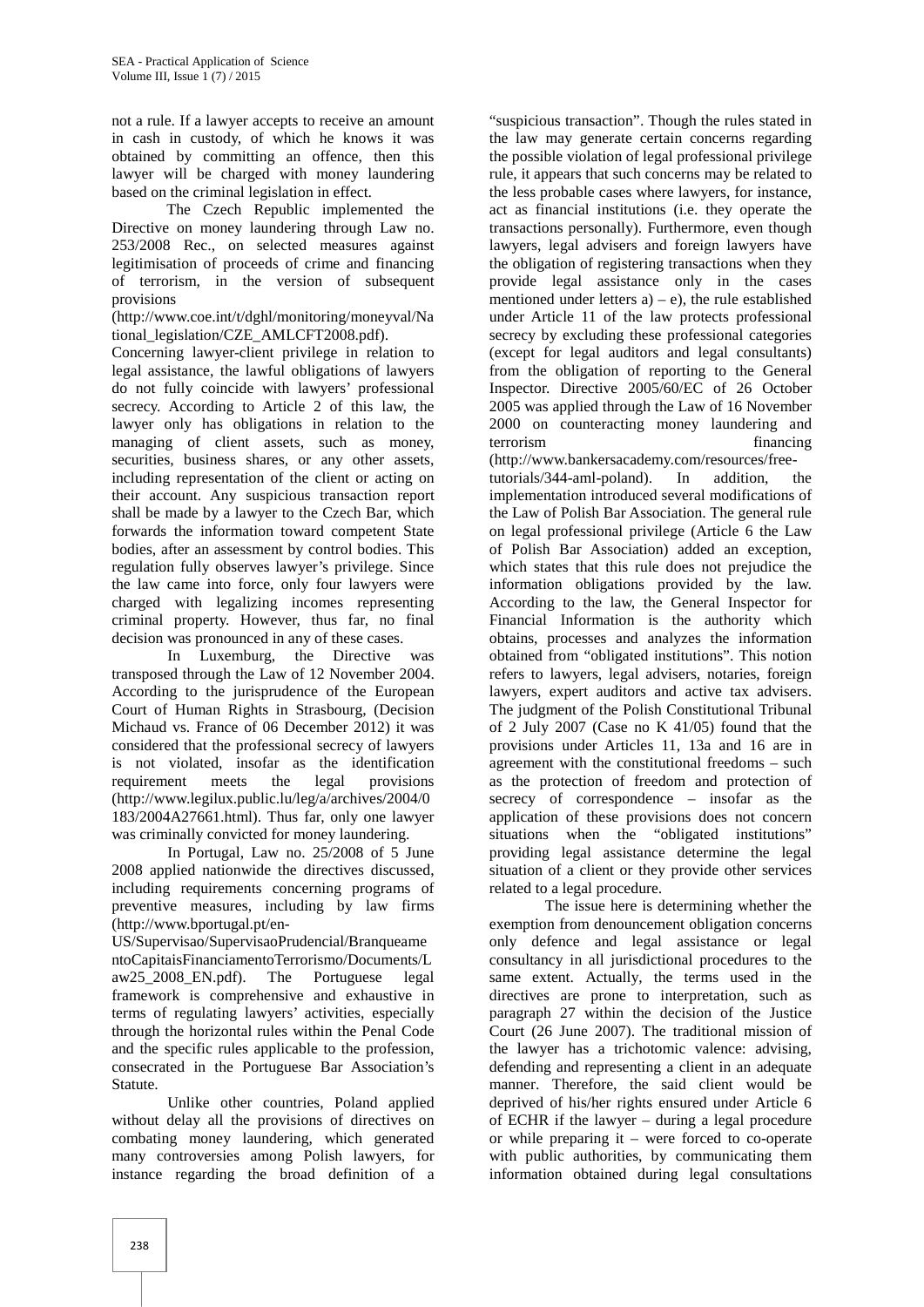not a rule. If a lawyer accepts to receive an amount in cash in custody, of which he knows it was obtained by committing an offence, then this lawyer will be charged with money laundering based on the criminal legislation in effect.

The Czech Republic implemented the Directive on money laundering through Law no. 253/2008 Rec., on selected measures against legitimisation of proceeds of crime and financing of terrorism, in the version of subsequent provisions

(http://www.coe.int/t/dghl/monitoring/moneyval/Na tional\_legislation/CZE\_AMLCFT2008.pdf).

Concerning lawyer-client privilege in relation to legal assistance, the lawful obligations of lawyers do not fully coincide with lawyers' professional secrecy. According to Article 2 of this law, the lawyer only has obligations in relation to the managing of client assets, such as money, securities, business shares, or any other assets, including representation of the client or acting on their account. Any suspicious transaction report shall be made by a lawyer to the Czech Bar, which forwards the information toward competent State bodies, after an assessment by control bodies. This regulation fully observes lawyer's privilege. Since the law came into force, only four lawyers were charged with legalizing incomes representing criminal property. However, thus far, no final decision was pronounced in any of these cases.

In Luxemburg, the Directive was transposed through the Law of 12 November 2004. According to the jurisprudence of the European Court of Human Rights in Strasbourg, (Decision Michaud vs. France of 06 December 2012) it was considered that the professional secrecy of lawyers is not violated, insofar as the identification requirement meets the legal (http://www.legilux.public.lu/leg/a/archives/2004/0 183/2004A27661.html). Thus far, only one lawyer was criminally convicted for money laundering.

In Portugal, Law no. 25/2008 of 5 June 2008 applied nationwide the directives discussed, including requirements concerning programs of preventive measures, including by law firms (http://www.bportugal.pt/en-

US/Supervisao/SupervisaoPrudencial/Branqueame ntoCapitaisFinanciamentoTerrorismo/Documents/L aw<sub>25</sub><sup>-</sup>2008 EN.pdf). The Portuguese legal framework is comprehensive and exhaustive in terms of regulating lawyers' activities, especially through the horizontal rules within the Penal Code and the specific rules applicable to the profession, consecrated in the Portuguese Bar Association's Statute.

Unlike other countries, Poland applied without delay all the provisions of directives on combating money laundering, which generated many controversies among Polish lawyers, for instance regarding the broad definition of a

"suspicious transaction". Though the rules stated in the law may generate certain concerns regarding the possible violation of legal professional privilege rule, it appears that such concerns may be related to the less probable cases where lawyers, for instance, act as financial institutions (i.e. they operate the transactions personally). Furthermore, even though lawyers, legal advisers and foreign lawyers have the obligation of registering transactions when they provide legal assistance only in the cases mentioned under letters  $a$ ) – e), the rule established under Article 11 of the law protects professional secrecy by excluding these professional categories (except for legal auditors and legal consultants) from the obligation of reporting to the General Inspector. Directive 2005/60/EC of 26 October 2005 was applied through the Law of 16 November 2000 on counteracting money laundering and terrorism financing (http://www.bankersacademy.com/resources/free-

tutorials/344-aml-poland). In addition, the implementation introduced several modifications of the Law of Polish Bar Association. The general rule on legal professional privilege (Article 6 the Law of Polish Bar Association) added an exception, which states that this rule does not prejudice the information obligations provided by the law. According to the law, the General Inspector for Financial Information is the authority which obtains, processes and analyzes the information obtained from "obligated institutions". This notion refers to lawyers, legal advisers, notaries, foreign lawyers, expert auditors and active tax advisers. The judgment of the Polish Constitutional Tribunal of 2 July 2007 (Case no K 41/05) found that the provisions under Articles 11, 13a and 16 are in agreement with the constitutional freedoms – such as the protection of freedom and protection of secrecy of correspondence – insofar as the application of these provisions does not concern situations when the "obligated institutions" providing legal assistance determine the legal situation of a client or they provide other services related to a legal procedure.

The issue here is determining whether the exemption from denouncement obligation concerns only defence and legal assistance or legal consultancy in all jurisdictional procedures to the same extent. Actually, the terms used in the directives are prone to interpretation, such as paragraph 27 within the decision of the Justice Court (26 June 2007). The traditional mission of the lawyer has a trichotomic valence: advising, defending and representing a client in an adequate manner. Therefore, the said client would be deprived of his/her rights ensured under Article 6 of ECHR if the lawyer – during a legal procedure or while preparing it – were forced to co-operate with public authorities, by communicating them information obtained during legal consultations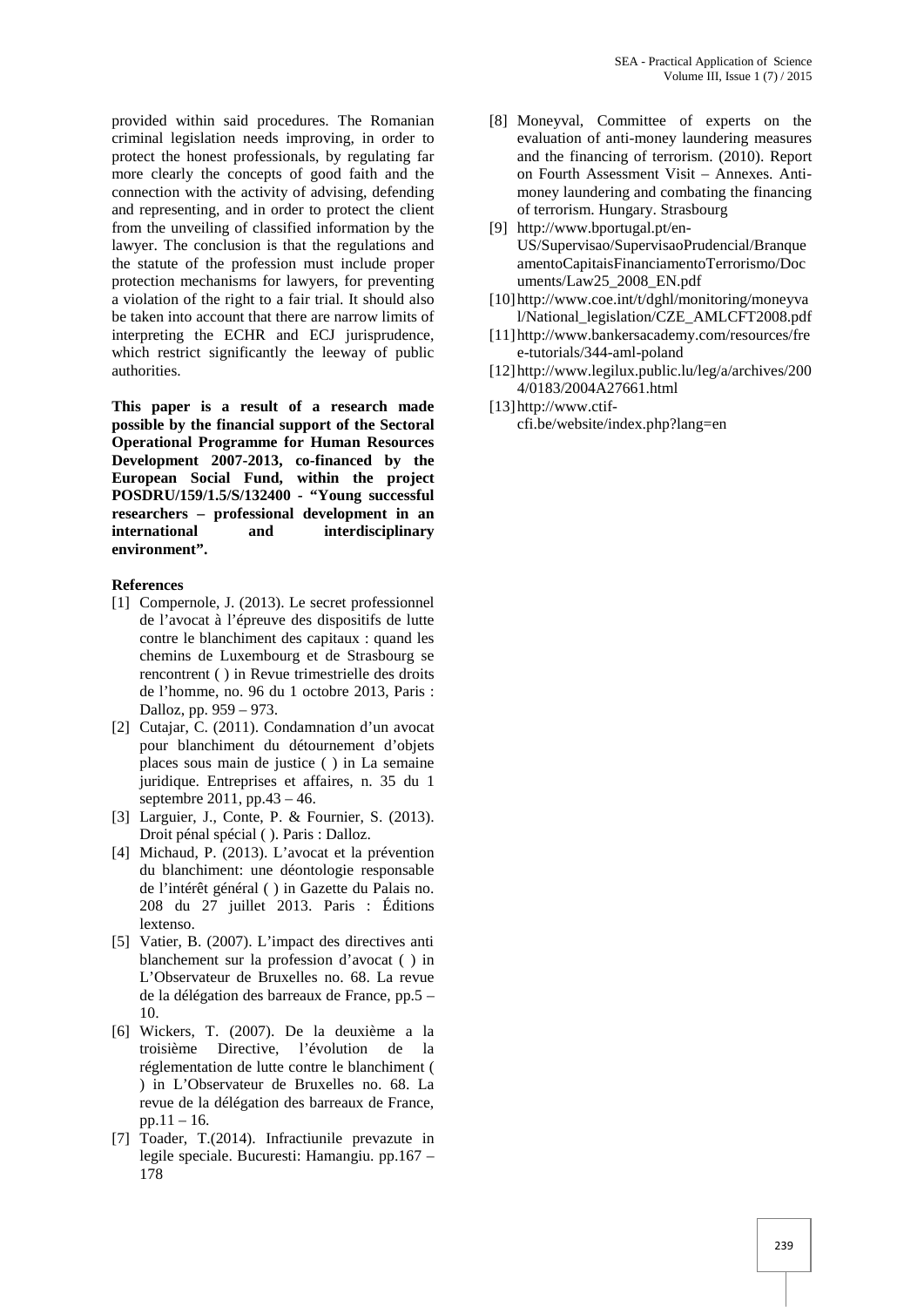provided within said procedures. The Romanian criminal legislation needs improving, in order to protect the honest professionals, by regulating far more clearly the concepts of good faith and the connection with the activity of advising, defending and representing, and in order to protect the client from the unveiling of classified information by the lawyer. The conclusion is that the regulations and the statute of the profession must include proper protection mechanisms for lawyers, for preventing a violation of the right to a fair trial. It should also be taken into account that there are narrow limits of interpreting the ECHR and ECJ jurisprudence, which restrict significantly the leeway of public authorities.

**This paper is a result of a research made possible by the financial support of the Sectoral Operational Programme for Human Resources Development 2007-2013, co-financed by the European Social Fund, within the project POSDRU/159/1.5/S/132400 - "Young successful researchers – professional development in an international and interdisciplinary environment".**

## **References**

- [1] Compernole, J. (2013). Le secret professionnel de l'avocat à l'épreuve des dispositifs de lutte contre le blanchiment des capitaux : quand les chemins de Luxembourg et de Strasbourg se rencontrent ( ) in Revue trimestrielle des droits de l'homme, no. 96 du 1 octobre 2013, Paris : Dalloz, pp. 959 – 973.
- [2] Cutajar, C. (2011). Condamnation d'un avocat pour blanchiment du détournement d'objets places sous main de justice ( ) in La semaine juridique. Entreprises et affaires, n. 35 du 1 septembre 2011, pp.43 – 46.
- [3] Larguier, J., Conte, P. & Fournier, S. (2013). Droit pénal spécial ( ). Paris : Dalloz.
- [4] Michaud, P. (2013). L'avocat et la prévention du blanchiment: une déontologie responsable de l'intérêt général ( ) in Gazette du Palais no. 208 du 27 juillet 2013. Paris : Éditions lextenso.
- [5] Vatier, B. (2007). L'impact des directives anti blanchement sur la profession d'avocat ( ) in L'Observateur de Bruxelles no. 68. La revue de la délégation des barreaux de France, pp.5 – 10.
- [6] Wickers, T. (2007). De la deuxième a la troisième Directive, l'évolution de la réglementation de lutte contre le blanchiment ( ) in L'Observateur de Bruxelles no. 68. La revue de la délégation des barreaux de France, pp.11 – 16.
- [7] Toader, T.(2014). Infractiunile prevazute in legile speciale. Bucuresti: Hamangiu. pp.167 – 178
- [8] Moneyval, Committee of experts on the evaluation of anti-money laundering measures and the financing of terrorism. (2010). Report on Fourth Assessment Visit – Annexes. Anti money laundering and combating the financing of terrorism. Hungary. Strasbourg
- [9] http://www.bportugal.pt/en- US/Supervisao/SupervisaoPrudencial/Branque amentoCapitaisFinanciamentoTerrorismo/Doc uments/Law25\_2008\_EN.pdf
- [10] http://www.coe.int/t/dghl/monitoring/moneyva l/National\_legislation/CZE\_AMLCFT2008.pdf
- [11] http://www.bankersacademy.com/resources/fre e-tutorials/344-aml-poland
- [12] http://www.legilux.public.lu/leg/a/archives/200 4/0183/2004A27661.html
- [13] http://www.ctif cfi.be/website/index.php?lang=en